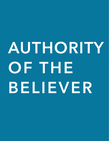# **AUTHORITY OF THE BELIEVER**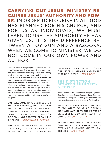**CARRYING OUT JESUS' MINISTRY RE-QUIRES JESUS' AUTHORITY AND POW-ER.** IN ORDER TO FLOURISH IN ALL GOD HAS PLANNED FOR HIS CHURCH, AND FOR US AS INDIVIDUALS, WE MUST LEARN TO USE THE AUTHORITY HE HAS GIVEN US. IT IS THE DIFFERENCE BE-TWEEN A TOY GUN AND A BAZOOKA. WHEN WE COME TO MINISTER, WE DO NOT COME IN OUR OWN POWER AND AUTHORITY.

What can we do to change anything? As most of us have probably experienced, we are powerless to preach, love, heal, or do any effective ministry on our own. Nothing good comes from our own ideas and abilities alone. Flesh cannot overcome the impossible, but with God, ALL things are possible (Mark 10:27). We should never come in our own name, but in the name of Jesus. He has all the power and authority, and we have none. Therefore, we need His authority and His power to do His work. This changes the way we view just about every area of our lives! Paul makes it clear in 1 Corinthians 4 that the kingdom of God is not about great words, but real power.

BUT I WILL COME TO YOU VERY SOON, IF THE LORD IS WILLING, AND THEN I WILL FIND OUT NOT ONLY HOW THESE ARRO-GANT PEOPLE ARE TALKING, BUT WHAT POWER THEY HAVE. FOR THE KINGDOM OF GOD IS NOT A MATTER OF TALK BUT OF POWER. *\_1 CORINTHIANS 4:19-20 (NIV)* 

BUT WHEN THE HOLY SPIRIT HAS COME UPON YOU, YOU WILL RECEIVE POW-ER AND WILL TELL PEOPLE ABOUT ME EVERYWHERE IN JERUSALEM, THROUGH-OUT JUDEA, IN SAMARIA, AND TO THE ENDS OF THE EARTH. *\_ACTS 1:8 (NLT)* 

# **THE DISTINCTION BETWEEN AUTHORITY & POWER**

While God's authority and power are inseparably related, there is a distinct difference between them. Jesus was identified as having God's authority and power; likewise, Jesus gave both authority and power to His disciples.

ALL THE PEOPLE WERE AMAZED AND SAID TO EACH OTHER, "WHAT IS THIS TEACH-ING? WITH **AUTHORITY AND POWER** HE GIVES ORDERS TO EVIL SPIRITS AND THEY COME OUT!" *\_LUKE 4:36 (NIV)* 

HE CALLED THE TWELVE TOGETHER, AND GAVE THEM **POWER AND AUTHORITY**  OVER ALL THE DEMONS, AND TO HEAL DISEASES. *\_LUKE 9:1 (NIV)*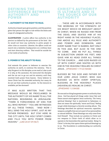# **DEFINING THE DIFFERENCE BETWEEN AUTHORITY AND POWER**

### **1. AUTHORITY IS THE** *RIGHT* **TO RULE.**

Authority is based upon given position, and this position gives that person the right to rule within the limits and scope of a designated authority.

*ILLUSTRATION: A police officer has authority in his precinct as defined by the government of the land. But he would not have any authority to police people in other cities or countries. Likewise, the officer could not march into a battalion headquarters on a military base and start directing soldiers. That would be outside his or her realm of authority.*

### **2. POWER IS THE** *ABILITY* **TO RULE.**

God extends His power to believers to exercise His authority on earth, to continue His ministry. This is why He gave it to His disciples, as we read in Luke 9; and it is why, at His ascension, He instructed the disciples and the 120 not to go out and do ministry until they received God's power from heaven. Every believer in Jesus Christ has His extended authority, but many do do not use their authority in power. So the resource is available, yet lies dormant!

IT WAS ALSO WRITTEN THAT THIS MESSAGE WOULD BE PROCLAIMED IN THE AUTHORITY OF HIS NAME TO ALL THE NATIONS, BEGINNING IN JERUSALEM: "THERE IS FORGIVENESS OF SINS FOR ALL WHO REPENT.'" YOU ARE WITNESSES OF ALL THESE THINGS. "AND NOW I WILL SEND THE HOLY SPIRIT, JUST AS MY FATHER PROMISED. BUT STAY HERE IN THE CITY UNTIL THE HOLY SPIRIT COMES AND FILLS YOU WITH POWER FROM HEAVEN." *\_LUKE 24:47-49 (NLT)* 

# **CHRIST'S AUTHORITY IS ULTIMATE AND IS THE SOURCE OF OUR AUTHORITY**

. . . THESE ARE IN ACCORDANCE WITH THE WORKING OF THE STRENGTH OF HIS MIGHT WHICH HE BROUGHT ABOUT IN CHRIST, WHEN HE RAISED HIM FROM THE DEAD, AND SEATED HIM AT HIS RIGHT HAND IN THE HEAVENLY PLACES, FAR ABOVE ALL RULE AND AUTHORITY AND POWER AND DOMINION, AND EVERY NAME THAT IS NAMED, NOT ONLY IN THIS AGE, BUT ALSO IN THE ONE TO COME. AND HE PUT ALL THINGS IN SUBJECTION UNDER HIS FEET, AND GAVE HIM AS HEAD OVER ALL THINGS TO THE CHURCH. . . AND GOD RAISED US UP WITH CHRIST AND SEATED US WITH HIM IN THE HEAVENLY REALMS IN CHRIST JESUS. *\_EPHESIANS 1:19-22 (NASB)* 

BLESSED BE THE GOD AND FATHER OF OUR LORD JESUS CHRIST, WHO HAS BLESSED US WITH EVERY SPIRITUAL BLESSING IN THE HEAVENLY PLACES [HEAVENLIES REALM] IN CHRIST. *\_EPHESIANS 1:3 (NASB)* 

No one and no thing has greater power or authority than Jesus. God has placed all things under Jesus' feet and Satan cannot stand against Jesus' authority. The "every spiritual blessing" that is mentioned in Ephesians 1:3 does not mean the spiritually "warm and fuzzy" feeling we get while listening to a favorite worship album. The blessings described are spiritual resources, capacities, weapons, and gifts that are not a part of our personalities or natural abilities. These blessings can only come from God Himself. They include our position in Christ and our weapons in Christ—both of which allow us to operate in the heavenlies (the spiritual realm). Being "in Christ" is the key that opens these spiritual blessings up to us. The foundation is understanding our authority in Christ.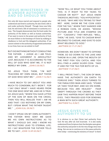# **JESUS MINISTERED IN & UNDER AUTHORITY AND SO SHOULD WE**

Not only did Jesus marvel and respond to people who understood and lived in authority, He also lived a life in and under authority Himself. Though Jesus was fully God, He still lived a life of submission to authority as a man. The Gospels demonstrate that He lived under the authority of His father as well as human authorities. If we want to move in the power and authority of God, we must follow in the footsteps of Christ by walking in obedience to God and His delegated authorities. If we cannot submit to the authority of appointed authorities in our lives, how can we submit to God?

BUT I DO NOTHING WITHOUT CONSULTING THE FATHER. I JUDGE AS I AM TOLD. AND MY JUDGMENT IS ABSOLUTELY JUST, BECAUSE IT IS ACCORDING TO THE WILL OF GOD WHO SENT ME; IT IS NOT MERELY MY OWN. *\_JOHN 5:30 (NLT)* 

SO JESUS TOLD THEM, "I'M NOT TEACHING MY OWN IDEAS, BUT THOSE OF GOD WHO SENT ME." *\_JOHN 7:16 (NLT)* 

I HAVE MUCH TO SAY ABOUT YOU AND MUCH TO CONDEMN, BUT I WON'T. FOR I SAY ONLY WHAT I HAVE HEARD FROM THE ONE WHO SENT ME, AND HE IS TRUE. SO JESUS SAID, "WHEN YOU HAVE LIFTED UP THE SON OF MAN ON THE CROSS, THEN YOU WILL REALIZE THAT I AM HE AND THAT I DO NOTHING ON MY OWN, BUT I SPEAK WHAT THE FATHER TAUGHT ME." \_*JOHN 8:26; 28 (NLT)* 

I DON'T SPEAK ON MY OWN AUTHORITY. THE FATHER WHO SENT ME GAVE ME HIS OWN INSTRUCTIONS AS TO WHAT I SHOULD SAY. AND I KNOW HIS INSTRUCTIONS LEAD TO ETERNAL LIFE; SO I SAY WHATEVER THE FATHER TELLS ME TO SAY! *\_JOHN 12:49-50 (NLT)* 

"NOW TELL US WHAT YOU THINK ABOUT THIS: IS IT RIGHT TO PAY TAXES TO CAESAR OR NOT?" BUT JESUS KNEW THEIR EVIL MOTIVES. "YOU HYPOCRITES!" HE SAID. "WHY ARE YOU TRYING TO TRAP ME? HERE, SHOW ME THE COIN USED FOR THE TAX." WHEN THEY HANDED HIM A ROMAN COIN, HE ASKED, "WHOSE PICTURE AND TITLE ARE STAMPED ON IT?" "CAESAR'S," THEY REPLIED. "WELL, THEN," HE SAID, "GIVE TO CAESAR WHAT BELONGS TO CAESAR, AND GIVE TO GOD WHAT BELONGS TO GOD."

*\_MATTHEW 22:17-21 (NLT)* 

HOWEVER, WE DON'T WANT TO OFFEND THEM, SO GO DOWN TO THE LAKE AND THROW IN A LINE. OPEN THE MOUTH OF THE FIRST FISH YOU CATCH, AND YOU WILL FIND A LARGE SILVER COIN. TAKE IT AND PAY THE TAX FOR BOTH OF US. *\_MATTHEW 17:27 (NLT)* 

"I WILL PROVE THAT I, THE SON OF MAN, HAVE THE AUTHORITY ON EARTH TO FORGIVE SINS." THEN JESUS TURNED TO THE PARALYZED MAN AND SAID, "STAND UP, TAKE YOUR MAT, AND GO ON HOME, BECAUSE YOU ARE HEALED!" FEAR SWEPT THROUGH THE CROWD AS THEY SAW THIS HAPPEN RIGHT BEFORE THEIR EYES. THEY PRAISED GOD FOR SENDING A MAN WITH SUCH GREAT AUTHORITY. *\_MATTHEW 9:6; 8 (NLT)* 

# **JESUS GIVES HIS AUTHORITY TO US**

It is obvious to us that Christ had authority from God. He was, after all, God incarnate. It is also easily understood from Scripture that the disciples were given the authority and power to do the very things Jesus was doing. But are we to continue on in this same authority even today—continuing the ministry of Jesus? Is there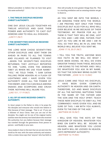biblical precedent to believe that we have been given this same authority?

### **1. THE TWELVE DISCIPLES RECEIVED CHRIST'S AUTHORITY.**

ONE DAY JESUS CALLED TOGETHER HIS TWELVE APOSTLES AND GAVE THEM POWER AND AUTHORITY TO CAST OUT DEMONS AND TO HEAL ALL DISEASES. *\_LUKE 9:1 (NLT)* 

### **2 THE SEVENTY-TWO DISCIPLES RECEIVED CHRIST'S AUTHORITY.**

THE LORD NOW CHOSE SEVENTY-TWO OTHER DISCIPLES AND SENT THEM ON AHEAD IN PAIRS TO ALL THE TOWNS AND VILLAGES HE PLANNED TO VISIT …WHEN THE SEVENTY-TWO DISCIPLES RETURNED, THEY JOYFULLY REPORTED TO HIM, "LORD, EVEN THE DEMONS OBEY US WHEN WE USE YOUR NAME!" "YES," HE TOLD THEM, "I SAW SATAN FALLING FROM HEAVEN AS A FLASH OF LIGHTNING! AND I HAVE GIVEN YOU AUTHORITY OVER ALL THE POWER OF THE ENEMY, AND YOU CAN WALK AMONG SNAKES AND SCORPIONS AND CRUSH THEM. NOTHING WILL INJURE YOU. *\_LUKE 10:1, 17-19 (NLT)* 

### **3. ALL OF US HAVE RECEIVED CHRIST'S AUTHORITY.**

In Jesus' prayer to the Father in John 17, he prays for His disciples and everyone who would ever believe in Him because of their message. That is us! If you are a follower of Jesus Christ, then you are one of His disciples. You might not be one of the original twelve (neither were the seventy-two listed above who received His authority), but you believe because their message has traveled through the generations from person to person—and finally to your ears.

Jesus makes it clear in this text that we are sent into the world as He was, with the same authority and mission. John 14 states Jesus says that "anyone" who has faith in

Him will actually do even greater things than He. This is a startling revelation and an amazing mission we get to share in.

AS YOU SENT ME INTO THE WORLD, I AM SENDING THEM INTO THE WORLD. I AM PRAYING NOT ONLY FOR THESE DISCIPLES BUT ALSO FOR ALL WHO WILL EVER BELIEVE IN ME BECAUSE OF THEIR TESTIMONY. MY PRAYER FOR ALL OF THEM IS THAT THEY WILL BE ONE, JUST AS YOU AND I ARE ONE, FATHER—THAT JUST AS YOU ARE IN ME AND I AM IN YOU, SO THEY WILL BE IN US, AND THE WORLD WILL BELIEVE YOU SENT ME. *\_JOHN 17:18, 20-21 (NLT)* 

I TELL YOU THE TRUTH, ANYONE WHO HAS FAITH IN ME WILL DO WHAT I HAVE BEEN DOING. HE WILL DO EVEN GREATER THINGS THAN THESE, BECAUSE I AM GOING TO THE FATHER. AND I WILL DO WHATEVER YOU ASK IN MY NAME, SO THAT THE SON MAY BRING GLORY TO THE FATHER. *\_JOHN 14:12-13 (NIV)* 

JESUS CAME AND TOLD HIS DISCIPLES, "I HAVE BEEN GIVEN COMPLETE AUTHORITY IN HEAVEN AND ON EARTH. THEREFORE, GO AND MAKE DISCIPLES OF ALL THE NATIONS, BAPTIZING THEM IN THE NAME OF THE FATHER AND THE SON AND THE HOLY SPIRIT. TEACH THESE NEW DISCIPLES TO OBEY ALL THE COMMANDS I HAVE GIVEN YOU. AND BE SURE OF THIS: I AM WITH YOU ALWAYS, EVEN TO THE END OF THE AGE." *\_MATTHEW 28:18 (NLT)* 

I WILL GIVE YOU THE KEYS OF THE KINGDOM OF HEAVEN; WHATEVER YOU BIND ON EARTH WILL BE BOUND IN HEAVEN, AND WHATEVER YOU LOOSE ON EARTH WILL BE LOOSED IN HEAVEN. *(KEYS REPRESENT AUTHORITY) \_MATTHEW 16:19 (NIV)*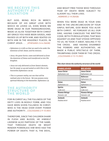# **WE RECEIVE THIS AUTHORITY AT SALVATION**

BUT GOD, BEING RICH IN MERCY, BECAUSE OF HIS GREAT LOVE WITH WHICH HE LOVED US, EVEN WHEN WE WERE DEAD IN OUR TRANSGRESSIONS, MADE US ALIVE TOGETHER WITH CHRIST (BY GRACE YOU HAVE BEEN SAVED), AND RAISED US UP WITH HIM, AND SEATED US WITH HIM IN THE HEAVENLY PLACES, IN CHRIST JESUS. . . *\_EPHESIANS 2:4-6 (NASB)* 

- *Ephesians 2:1-3 tells us that we used to be under the dominion of hell, Satan, and his minions.*
- *Jesus, the great Savior, came and delivered us from the dominion of Satan and transferred us into His kingdom.*
- *Jesus not only delivered us from Satan's domain, but He swept us up and seated us with Him in the heavenlies (Ephesians 1:19-22).*
- *This is a present reality, not one that will be realized only in the future. We now possess every spiritual blessing in the heavenlies (Ephesians 1:3).*

# **THE AUTHORITY STRUCTURE OF THE WORLD**

FOR IN CHRIST ALL THE FULLNESS OF THE DEITY LIVES IN BODILY FORM, AND YOU HAVE BEEN GIVEN FULLNESS IN CHRIST, WHO IS THE HEAD OVER EVERY POWER AND AUTHORITY. *\_COLOSSIANS 2:9-10 (NIV)* 

THEREFORE, SINCE THE CHILDREN SHARE IN FLESH AND BLOOD, HE HIMSELF LIKEWISE ALSO PARTOOK OF THE SAME, THAT THROUGH DEATH HE MIGHT RENDER POWERLESS HIM WHO HAD THE POWER OF DEATH, THAT IS, THE DEVIL, AND MIGHT FREE THOSE WHO THROUGH FEAR OF DEATH WERE SUBJECT TO SLAVERY ALL THEIR LIVES. *\_HEBREWS 2:14 (NASB)* 

WHEN YOU WERE DEAD IN YOUR SINS AND IN THE UNCIRCUMCISION OF YOUR SINFUL NATURE, GOD MADE YOU ALIVE WITH CHRIST. HE FORGAVE US ALL OUR SINS, HAVING CANCELED THE WRITTEN CODE, WITH ITS REGULATIONS, THAT WAS AGAINST US AND THAT STOOD OPPOSED TO US; HE TOOK IT AWAY, NAILING IT TO THE CROSS. AND HAVING DISARMED THE POWERS AND AUTHORITIES, HE MADE A PUBLIC SPECTACLE OF THEM, TRIUMPHING OVER THEM BY THE CROSS. *\_COLOSSIANS 2:13-15 (NIV)* 

### *This chart shows the authority structure of the world:*

| <b>UNBELIEVER</b>   | <b>BELIEVER</b>     |
|---------------------|---------------------|
| <b>Jesus Christ</b> | <b>Jesus Christ</b> |
| Ephesians 1:22      | Ephesians 1:22      |
|                     | <b>Believers</b>    |
|                     | Ephesians 2:6       |
| Satan               | Satan               |
| Ephesians 2:2       | Ephesians 2:2       |
| <b>Spirits</b>      | <b>Spirits</b>      |
| Luke 13:11          | Luke 13:11          |
| <b>Human Beings</b> | <b>Human Beings</b> |
| Genesis 1:26        | Genesis 1:26        |
| <b>Animals</b>      | Animals             |
| Psalms $8:6-8$      | Psalms 8:6-8        |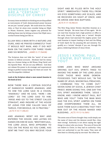# **REMEMBER THAT YOU ARE A "CERTAIN" DISCIPLE OF CHRIST**

So many times we default to thinking we are disqualified as instruments of God's demonstrated power because we are just "normal" people. We could never be a Peter, John, or Paul, let alone even consider being an Elijah or Moses. However, James negates any potential for deifying these men by letting us know that Elijah was a normal human being just like us.

ELIJAH WAS A MAN WITH A NATURE LIKE OURS, AND HE PRAYED EARNESTLY THAT IT WOULD NOT RAIN, AND IT DID NOT RAIN ON THE EARTH FOR THREE YEARS AND SIX MONTHS. *\_JAMES 5:17 (NASB)*

The Scripture does not hide the "warts" of men and women in biblical accounts. Abraham had his messy days as a human being; as did Moses, King David, and the Apostle Peter. We are not any different. God does not release His power to do strategic and supernatural things in perfect human beings, for there are none! He uses His imperfect children!

### *Look at the Scripture about a man named Ananias in the book of Acts:*

NOW THERE WAS A CERTAIN DISCIPLE AT DAMASCUS NAMED ANANIAS; AND TO HIM THE LORD SAID IN A VISION, "ANANIAS." AND HE SAID, "HERE I AM, LORD." SO THE LORD SAID TO HIM, "ARISE AND GO TO THE STREET CALLED STRAIGHT, AND INQUIRE AT THE HOUSE OF JUDAS FOR ONE CALLED SAUL OF TARSUS, FOR BEHOLD, HE IS PRAYING." *\_ACTS 9:10-11 (NKJV)* 

AND ANANIAS WENT HIS WAY AND ENTERED THE HOUSE; AND LAYING HIS HANDS ON HIM HE SAID, "BROTHER SAUL, THE LORD JESUS, WHO APPEARED TO YOU ON THE ROAD AS YOU CAME, HAS SENT ME THAT YOU MAY RECEIVE YOUR

SIGHT AND BE FILLED WITH THE HOLY SPIRIT." IMMEDIATELY THERE FELL FROM HIS EYES SOMETHING LIKE SCALES, AND HE RECEIVED HIS SIGHT AT ONCE; AND HE AROSE AND WAS BAPTIZED. *\_ACTS 9:17-18 (NKJV)* 

The New King James Version describes Ananias as a "certain" disciple. We never hear of him again. We do not read that Ananias had a high position or office in the early church. He simply was a "certain" disciple through whom God exercised His mighty power. God used Ananias to impart healing to Saul and the filling of God's Spirit for his amazing life and ministry. You qualify as a "certain" disciple if you are, through His grace, a believing follower of Jesus Christ.

# **JESUS I KNOW, PAUL I KNOW, BUT WHO ARE YOU?**

SOME JEWS WHO WENT AROUND DRIVING OUT EVIL SPIRITS TRIED TO INVOKE THE NAME OF THE LORD JESUS OVER THOSE WHO WERE DEMON-POSSESSED. THEY WOULD SAY, "IN THE NAME OF JESUS, WHOM PAUL PREACHES, I COMMAND YOU TO COME OUT." SEVEN SONS OF SCEVA, A JEWISH CHIEF PRIEST, WERE DOING THIS. ONE DAY THE EVIL SPIRIT ANSWERED THEM, "JESUS I KNOW, AND I KNOW ABOUT PAUL, BUT WHO ARE YOU?" THEN THE MAN WHO HAD THE EVIL SPIRIT JUMPED ON THEM AND OVERPOWERED THEM ALL. HE GAVE THEM SUCH A BEATING THAT THEY RAN OUT OF THE HOUSE NAKED AND BLEEDING. *\_ACTS 19:13-16 (NIV)* 

The seven sons of Sceva thought they could simply use the name of Jesus and the demons would flee—they were wrong! Authority is not about saying the right thing; it is about who you know. The sons of Sceva did not believe in Christ, so they had no authority—they were not authorized to use His name. They were all then beat to a bloody pulp by one man! But when we